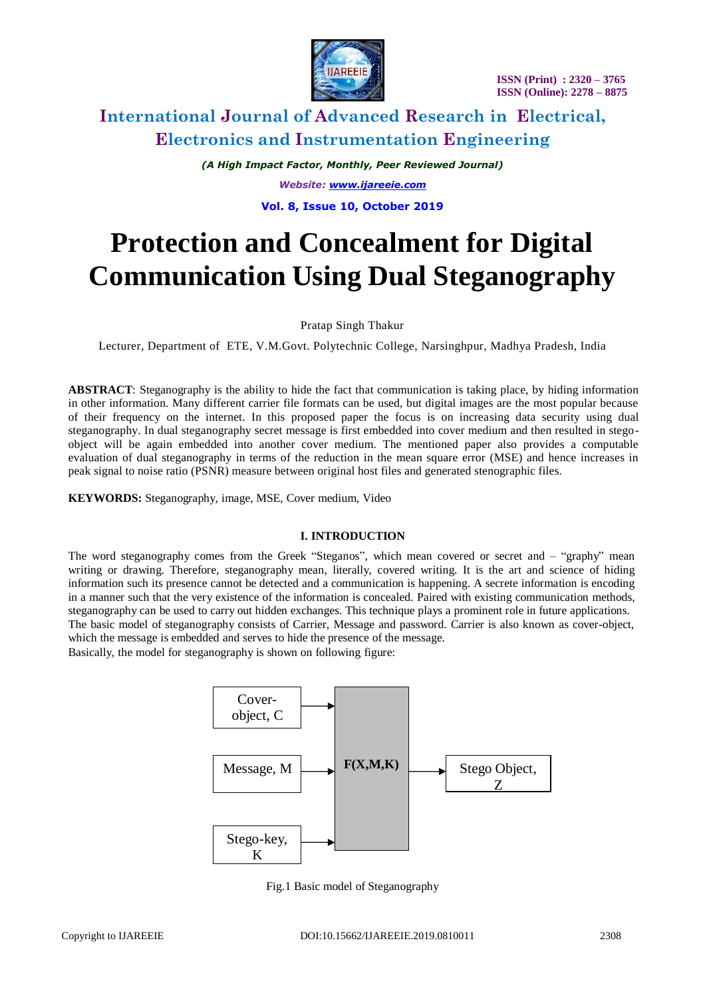

*(A High Impact Factor, Monthly, Peer Reviewed Journal) Website[: www.ijareeie.com](http://www.ijareeie.com/)* **Vol. 8, Issue 10, October 2019**

# **Protection and Concealment for Digital Communication Using Dual Steganography**

Pratap Singh Thakur

Lecturer, Department of ETE, V.M.Govt. Polytechnic College, Narsinghpur, Madhya Pradesh, India

**ABSTRACT**: Steganography is the ability to hide the fact that communication is taking place, by hiding information in other information. Many different carrier file formats can be used, but digital images are the most popular because of their frequency on the internet. In this proposed paper the focus is on increasing data security using dual steganography. In dual steganography secret message is first embedded into cover medium and then resulted in stegoobject will be again embedded into another cover medium. The mentioned paper also provides a computable evaluation of dual steganography in terms of the reduction in the mean square error (MSE) and hence increases in peak signal to noise ratio (PSNR) measure between original host files and generated stenographic files.

**KEYWORDS:** Steganography, image, MSE, Cover medium, Video

### **I. INTRODUCTION**

The word steganography comes from the Greek "Steganos", which mean covered or secret and – "graphy" mean writing or drawing. Therefore, steganography mean, literally, covered writing. It is the art and science of hiding information such its presence cannot be detected and a communication is happening. A secrete information is encoding in a manner such that the very existence of the information is concealed. Paired with existing communication methods, steganography can be used to carry out hidden exchanges. This technique plays a prominent role in future applications. The basic model of steganography consists of Carrier, Message and password. Carrier is also known as cover-object, which the message is embedded and serves to hide the presence of the message. Basically, the model for steganography is shown on following figure:



Fig.1 Basic model of Steganography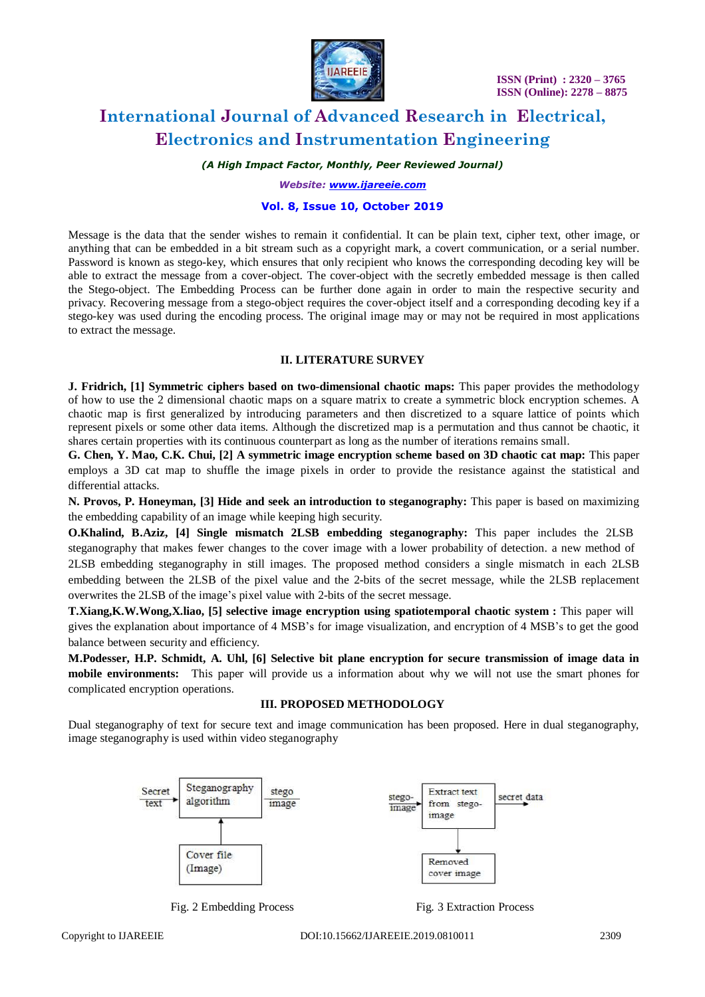

*(A High Impact Factor, Monthly, Peer Reviewed Journal)*

*Website[: www.ijareeie.com](http://www.ijareeie.com/)*

#### **Vol. 8, Issue 10, October 2019**

Message is the data that the sender wishes to remain it confidential. It can be plain text, cipher text, other image, or anything that can be embedded in a bit stream such as a copyright mark, a covert communication, or a serial number. Password is known as stego-key, which ensures that only recipient who knows the corresponding decoding key will be able to extract the message from a cover-object. The cover-object with the secretly embedded message is then called the Stego-object. The Embedding Process can be further done again in order to main the respective security and privacy. Recovering message from a stego-object requires the cover-object itself and a corresponding decoding key if a stego-key was used during the encoding process. The original image may or may not be required in most applications to extract the message.

#### **II. LITERATURE SURVEY**

**J. Fridrich, [1] Symmetric ciphers based on two-dimensional chaotic maps:** This paper provides the methodology of how to use the 2 dimensional chaotic maps on a square matrix to create a symmetric block encryption schemes. A chaotic map is first generalized by introducing parameters and then discretized to a square lattice of points which represent pixels or some other data items. Although the discretized map is a permutation and thus cannot be chaotic, it shares certain properties with its continuous counterpart as long as the number of iterations remains small.

G. Chen, Y. Mao, C.K. Chui, [2] A symmetric image encryption scheme based on 3D chaotic cat map: This paper employs a 3D cat map to shuffle the image pixels in order to provide the resistance against the statistical and differential attacks.

**N. Provos, P. Honeyman, [3] Hide and seek an introduction to steganography:** This paper is based on maximizing the embedding capability of an image while keeping high security.

**O.Khalind, B.Aziz, [4] Single mismatch 2LSB embedding steganography:** This paper includes the 2LSB steganography that makes fewer changes to the cover image with a lower probability of detection. a new method of 2LSB embedding steganography in still images. The proposed method considers a single mismatch in each 2LSB embedding between the 2LSB of the pixel value and the 2-bits of the secret message, while the 2LSB replacement overwrites the 2LSB of the image's pixel value with 2-bits of the secret message.

**T.Xiang,K.W.Wong,X.liao, [5] selective image encryption using spatiotemporal chaotic system :** This paper will gives the explanation about importance of 4 MSB's for image visualization, and encryption of 4 MSB's to get the good balance between security and efficiency.

**M.Podesser, H.P. Schmidt, A. Uhl, [6] Selective bit plane encryption for secure transmission of image data in mobile environments:** This paper will provide us a information about why we will not use the smart phones for complicated encryption operations.

### **III. PROPOSED METHODOLOGY**

Dual steganography of text for secure text and image communication has been proposed. Here in dual steganography, image steganography is used within video steganography



Fig. 2 Embedding Process Fig. 3 Extraction Process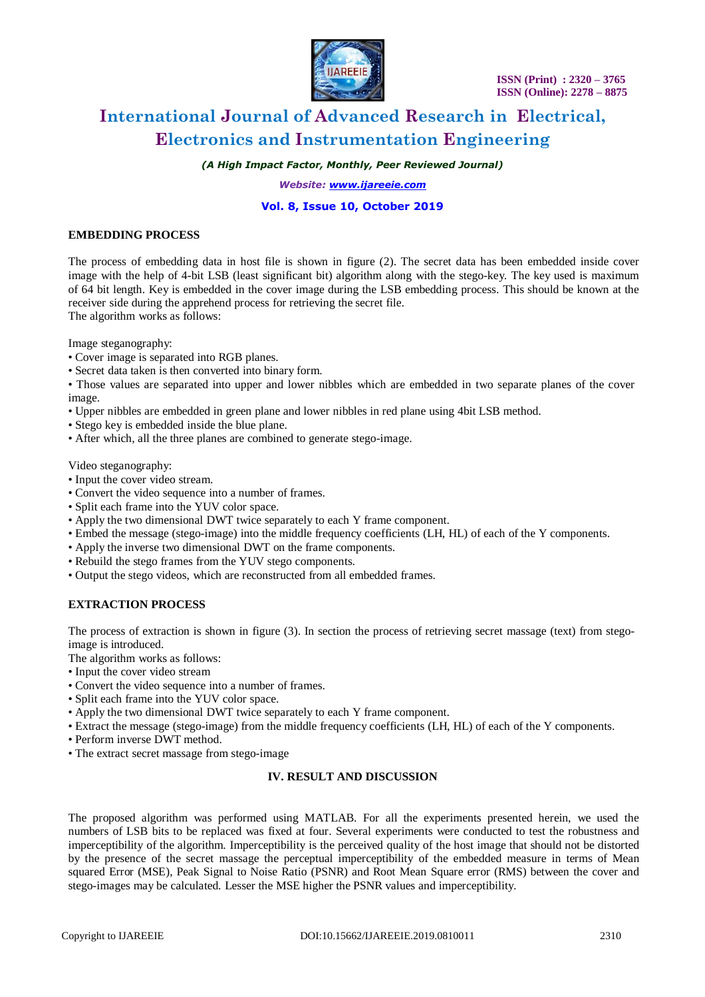

*(A High Impact Factor, Monthly, Peer Reviewed Journal)*

*Website[: www.ijareeie.com](http://www.ijareeie.com/)*

### **Vol. 8, Issue 10, October 2019**

#### **EMBEDDING PROCESS**

The process of embedding data in host file is shown in figure (2). The secret data has been embedded inside cover image with the help of 4-bit LSB (least significant bit) algorithm along with the stego-key. The key used is maximum of 64 bit length. Key is embedded in the cover image during the LSB embedding process. This should be known at the receiver side during the apprehend process for retrieving the secret file. The algorithm works as follows:

Image steganography:

- Cover image is separated into RGB planes.
- Secret data taken is then converted into binary form.

• Those values are separated into upper and lower nibbles which are embedded in two separate planes of the cover image.

• Upper nibbles are embedded in green plane and lower nibbles in red plane using 4bit LSB method.

- Stego key is embedded inside the blue plane.
- After which, all the three planes are combined to generate stego-image.

Video steganography:

- Input the cover video stream.
- Convert the video sequence into a number of frames.
- Split each frame into the YUV color space.
- Apply the two dimensional DWT twice separately to each Y frame component.
- Embed the message (stego-image) into the middle frequency coefficients (LH, HL) of each of the Y components.
- Apply the inverse two dimensional DWT on the frame components.
- Rebuild the stego frames from the YUV stego components.
- Output the stego videos, which are reconstructed from all embedded frames.

### **EXTRACTION PROCESS**

The process of extraction is shown in figure (3). In section the process of retrieving secret massage (text) from stegoimage is introduced.

The algorithm works as follows:

- Input the cover video stream
- Convert the video sequence into a number of frames.
- Split each frame into the YUV color space.
- Apply the two dimensional DWT twice separately to each Y frame component.
- Extract the message (stego-image) from the middle frequency coefficients (LH, HL) of each of the Y components.
- Perform inverse DWT method.
- The extract secret massage from stego-image

### **IV. RESULT AND DISCUSSION**

The proposed algorithm was performed using MATLAB. For all the experiments presented herein, we used the numbers of LSB bits to be replaced was fixed at four. Several experiments were conducted to test the robustness and imperceptibility of the algorithm. Imperceptibility is the perceived quality of the host image that should not be distorted by the presence of the secret massage the perceptual imperceptibility of the embedded measure in terms of Mean squared Error (MSE), Peak Signal to Noise Ratio (PSNR) and Root Mean Square error (RMS) between the cover and stego-images may be calculated. Lesser the MSE higher the PSNR values and imperceptibility.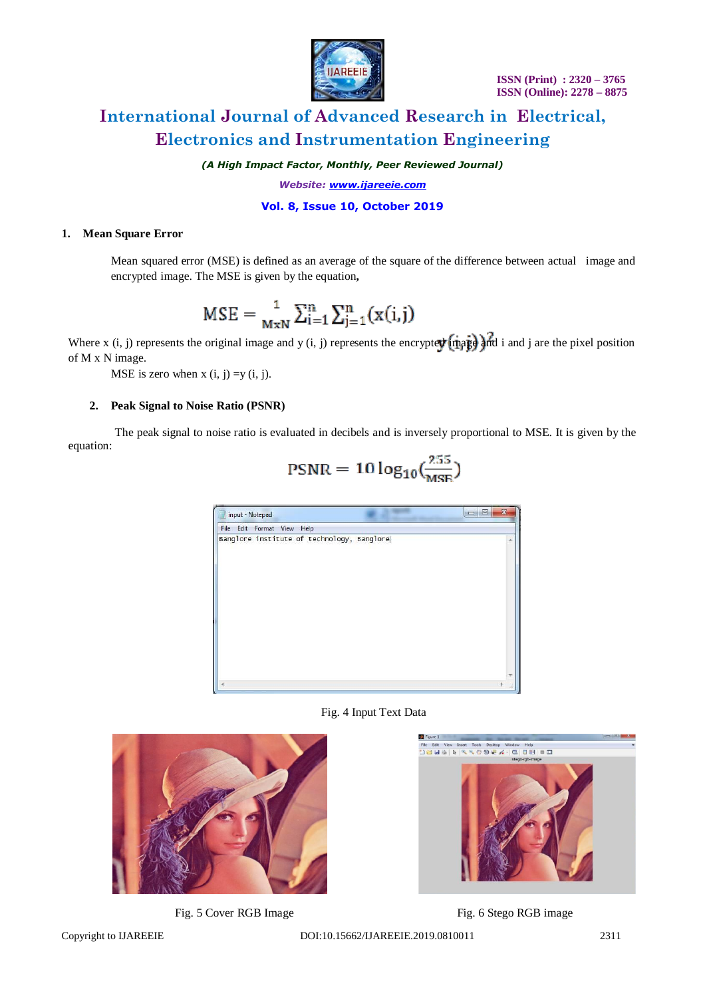

*(A High Impact Factor, Monthly, Peer Reviewed Journal)*

*Website[: www.ijareeie.com](http://www.ijareeie.com/)*

### **Vol. 8, Issue 10, October 2019**

### **1. Mean Square Error**

Mean squared error (MSE) is defined as an average of the square of the difference between actual image and encrypted image. The MSE is given by the equation**,**

$$
MSE = \frac{1}{MxN} \sum_{i=1}^{n} \sum_{j=1}^{n} (x(i,j))
$$

Where x (i, j) represents the original image and y (i, j) represents the encrypted  $(\text{image})$  and i and j are the pixel position of M x N image.

MSE is zero when  $x(i, j) = y(i, j)$ .

### **2. Peak Signal to Noise Ratio (PSNR)**

equation: The peak signal to noise ratio is evaluated in decibels and is inversely proportional to MSE. It is given by the

$$
\text{PSNR} = 10 \log_{10} \left( \frac{255}{\text{MSE}} \right)
$$



### Fig. 4 Input Text Data



Fig. 5 Cover RGB Image Fig. 6 Stego RGB image

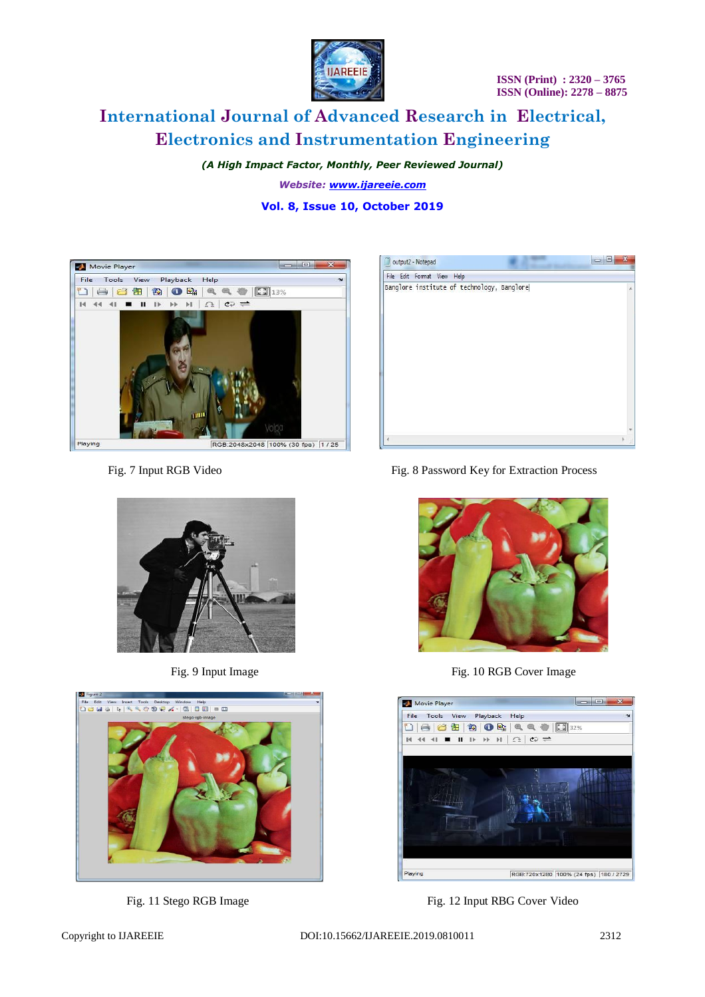

*(A High Impact Factor, Monthly, Peer Reviewed Journal)*

*Website[: www.ijareeie.com](http://www.ijareeie.com/)* **Vol. 8, Issue 10, October 2019**









Fig. 7 Input RGB Video Fig. 8 Password Key for Extraction Process



Fig. 9 Input Image Fig. 10 RGB Cover Image



Fig. 11 Stego RGB Image Fig. 12 Input RBG Cover Video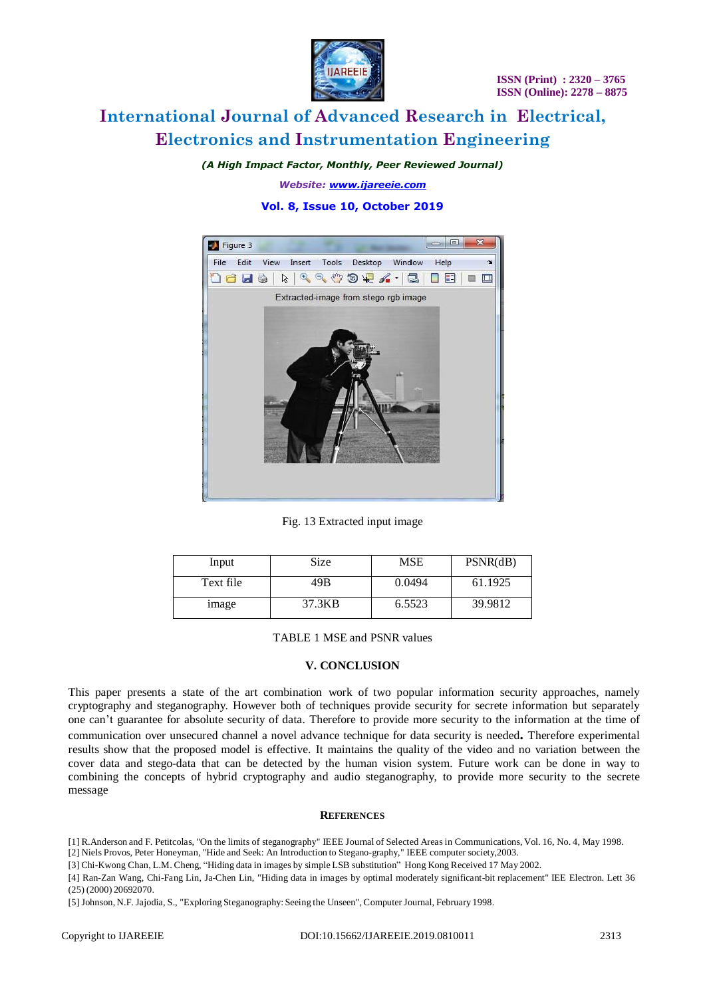

*(A High Impact Factor, Monthly, Peer Reviewed Journal)*

*Website[: www.ijareeie.com](http://www.ijareeie.com/)*

### **Vol. 8, Issue 10, October 2019**



Fig. 13 Extracted input image

| Input             | Size   | MSE    | PSNR(dB) |
|-------------------|--------|--------|----------|
| Text file         | 49B    | 0.0494 | 61.1925  |
| <sub>1</sub> mage | 37.3KB | 6.5523 | 39.9812  |

TABLE 1 MSE and PSNR values

### **V. CONCLUSION**

This paper presents a state of the art combination work of two popular information security approaches, namely cryptography and steganography. However both of techniques provide security for secrete information but separately one can't guarantee for absolute security of data. Therefore to provide more security to the information at the time of communication over unsecured channel a novel advance technique for data security is needed**.** Therefore experimental results show that the proposed model is effective. It maintains the quality of the video and no variation between the cover data and stego-data that can be detected by the human vision system. Future work can be done in way to combining the concepts of hybrid cryptography and audio steganography, to provide more security to the secrete message

#### **REFERENCES**

[1] R.Anderson and F. Petitcolas, "On the limits of steganography" IEEE Journal of Selected Areasin Communications, Vol. 16, No. 4, May 1998.

[2] Niels Provos, Peter Honeyman, "Hide and Seek: An Introduction to Stegano-graphy," IEEE computer society,2003.

[3] Chi-Kwong Chan, L.M. Cheng, "Hiding data in images by simple LSB substitution" Hong Kong Received 17 May 2002.

[4] Ran-Zan Wang, Chi-Fang Lin, Ja-Chen Lin, "Hiding data in images by optimal moderately significant-bit replacement" IEE Electron. Lett 36 (25) (2000) 20692070.

[5] Johnson, N.F. Jajodia, S., "Exploring Steganography: Seeing the Unseen", ComputerJournal, February 1998.